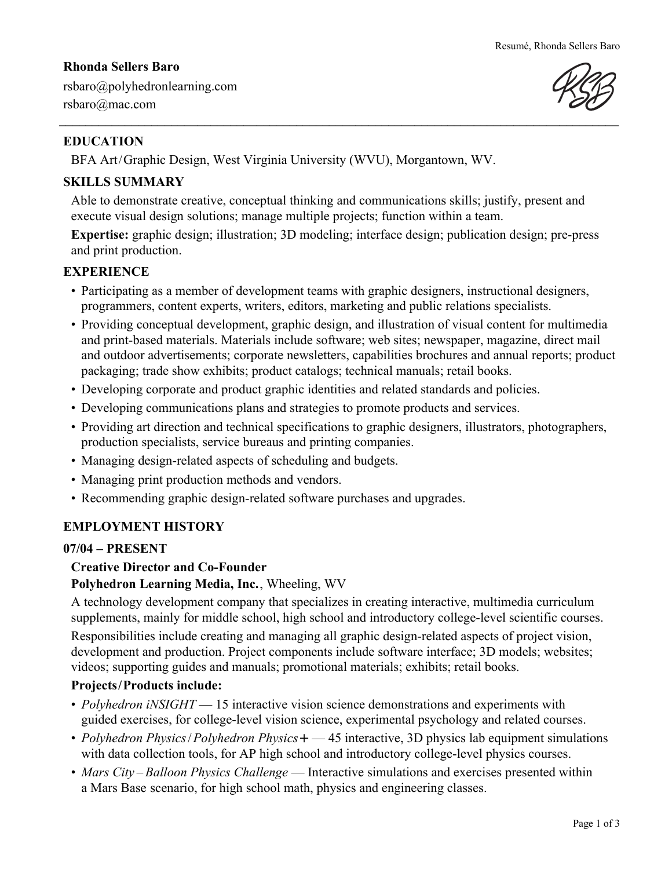## **Rhonda Sellers Baro**



rsbaro@polyhedronlearning.com rsbaro@mac.com

# **EDUCATION**

BFA Art/Graphic Design, West Virginia University (WVU), Morgantown, WV.

# **SKILLS SUMMARY**

Able to demonstrate creative, conceptual thinking and communications skills; justify, present and execute visual design solutions; manage multiple projects; function within a team.

**Expertise:** graphic design; illustration; 3D modeling; interface design; publication design; pre-press and print production.

## **EXPERIENCE**

- Participating as a member of development teams with graphic designers, instructional designers, programmers, content experts, writers, editors, marketing and public relations specialists.
- Providing conceptual development, graphic design, and illustration of visual content for multimedia and print-based materials. Materials include software; web sites; newspaper, magazine, direct mail and outdoor advertisements; corporate newsletters, capabilities brochures and annual reports; product packaging; trade show exhibits; product catalogs; technical manuals; retail books.
- Developing corporate and product graphic identities and related standards and policies.
- Developing communications plans and strategies to promote products and services.
- Providing art direction and technical specifications to graphic designers, illustrators, photographers, production specialists, service bureaus and printing companies.
- Managing design-related aspects of scheduling and budgets.
- Managing print production methods and vendors.
- Recommending graphic design-related software purchases and upgrades.

# **EMPLOYMENT HISTORY**

### **07/04 – PRESENT**

# **Creative Director and Co-Founder**

### **Polyhedron Learning Media, Inc.**, Wheeling, WV

A technology development company that specializes in creating interactive, multimedia curriculum supplements, mainly for middle school, high school and introductory college-level scientific courses. Responsibilities include creating and managing all graphic design-related aspects of project vision, development and production. Project components include software interface; 3D models; websites; videos; supporting guides and manuals; promotional materials; exhibits; retail books.

# **Projects/Products include:**

- *Polyhedron iNSIGHT* 15 interactive vision science demonstrations and experiments with guided exercises, for college-level vision science, experimental psychology and related courses.
- *Polyhedron Physics*/*Polyhedron Physics***+** 45 interactive, 3D physics lab equipment simulations with data collection tools, for AP high school and introductory college-level physics courses.
- *Mars City Balloon Physics Challenge* Interactive simulations and exercises presented within a Mars Base scenario, for high school math, physics and engineering classes.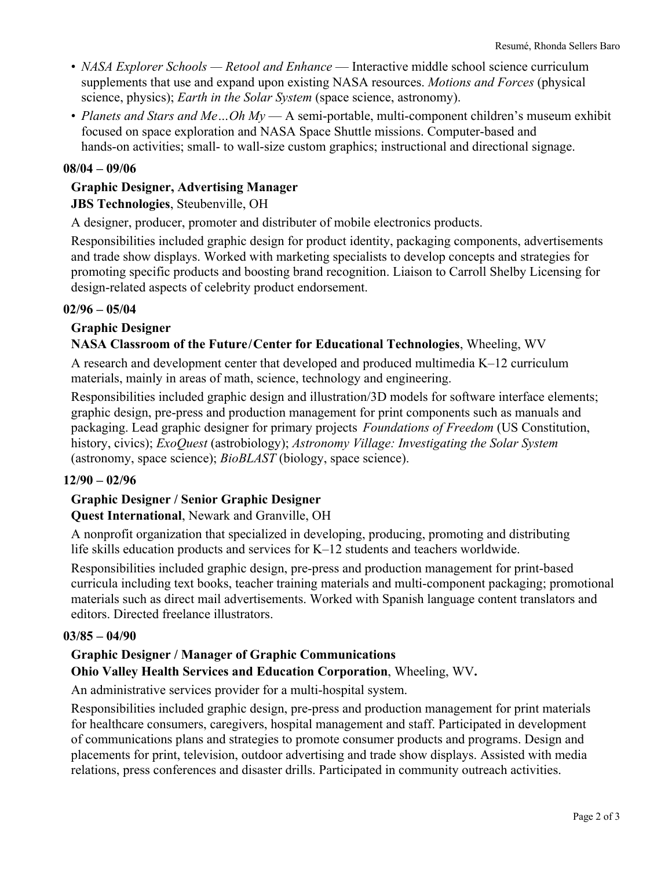- *NASA Explorer Schools Retool and Enhance* Interactive middle school science curriculum supplements that use and expand upon existing NASA resources. *Motions and Forces* (physical science, physics); *Earth in the Solar System* (space science, astronomy).
- *Planets and Stars and Me...Oh My* A semi-portable, multi-component children's museum exhibit focused on space exploration and NASA Space Shuttle missions. Computer-based and hands-on activities; small- to wall-size custom graphics; instructional and directional signage.

### **08/04 – 09/06**

## **Graphic Designer, Advertising Manager JBS Technologies**, Steubenville, OH

A designer, producer, promoter and distributer of mobile electronics products.

Responsibilities included graphic design for product identity, packaging components, advertisements and trade show displays. Worked with marketing specialists to develop concepts and strategies for promoting specific products and boosting brand recognition. Liaison to Carroll Shelby Licensing for design-related aspects of celebrity product endorsement.

#### **02/96 – 05/04**

### **Graphic Designer**

### **NASA Classroom of the Future/Center for Educational Technologies**, Wheeling, WV

A research and development center that developed and produced multimedia K–12 curriculum materials, mainly in areas of math, science, technology and engineering.

Responsibilities included graphic design and illustration/3D models for software interface elements; graphic design, pre-press and production management for print components such as manuals and packaging. Lead graphic designer for primary projects *Foundations of Freedom* (US Constitution, history, civics); *ExoQuest* (astrobiology); *Astronomy Village: Investigating the Solar System* (astronomy, space science); *BioBLAST* (biology, space science).

### **12/90 – 02/96**

### **Graphic Designer / Senior Graphic Designer**

### **Quest International**, Newark and Granville, OH

A nonprofit organization that specialized in developing, producing, promoting and distributing life skills education products and services for K–12 students and teachers worldwide.

Responsibilities included graphic design, pre-press and production management for print-based curricula including text books, teacher training materials and multi-component packaging; promotional materials such as direct mail advertisements. Worked with Spanish language content translators and editors. Directed freelance illustrators.

#### **03/85 – 04/90**

### **Graphic Designer / Manager of Graphic Communications**

**Ohio Valley Health Services and Education Corporation**, Wheeling, WV**.** 

An administrative services provider for a multi-hospital system.

Responsibilities included graphic design, pre-press and production management for print materials for healthcare consumers, caregivers, hospital management and staff. Participated in development of communications plans and strategies to promote consumer products and programs. Design and placements for print, television, outdoor advertising and trade show displays. Assisted with media relations, press conferences and disaster drills. Participated in community outreach activities.